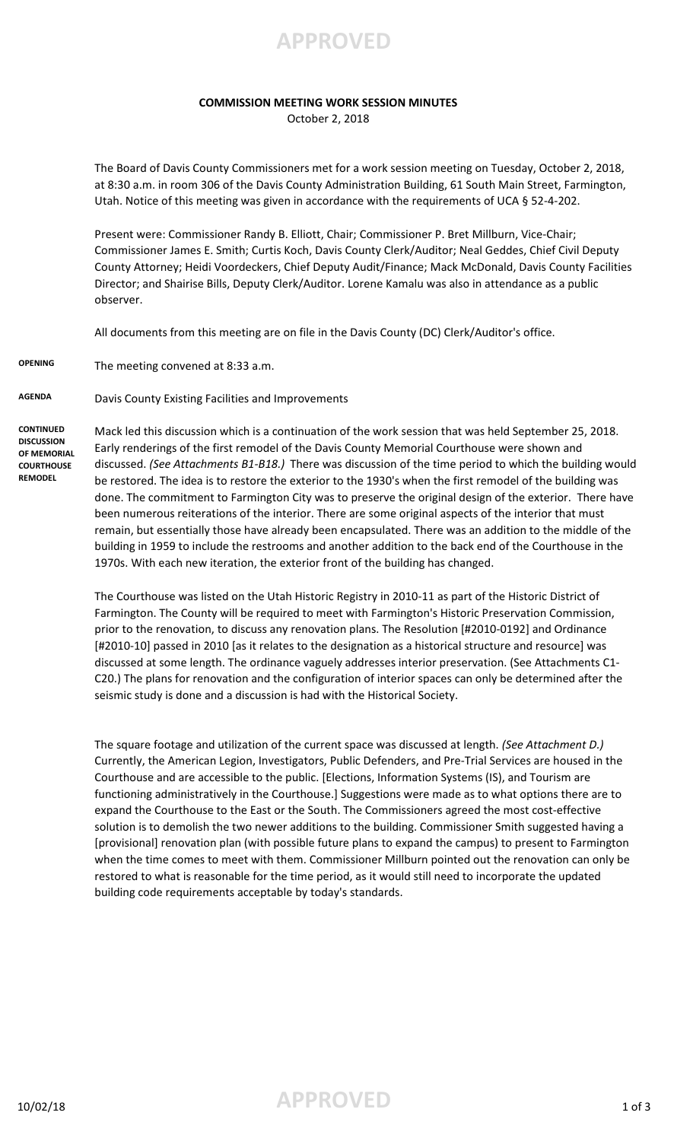

## **COMMISSION MEETING WORK SESSION MINUTES**

October 2, 2018

The Board of Davis County Commissioners met for a work session meeting on Tuesday, October 2, 2018, at 8:30 a.m. in room 306 of the Davis County Administration Building, 61 South Main Street, Farmington, Utah. Notice of this meeting was given in accordance with the requirements of UCA § 52-4-202.

Present were: Commissioner Randy B. Elliott, Chair; Commissioner P. Bret Millburn, Vice-Chair; Commissioner James E. Smith; Curtis Koch, Davis County Clerk/Auditor; Neal Geddes, Chief Civil Deputy County Attorney; Heidi Voordeckers, Chief Deputy Audit/Finance; Mack McDonald, Davis County Facilities Director; and Shairise Bills, Deputy Clerk/Auditor. Lorene Kamalu was also in attendance as a public observer.

All documents from this meeting are on file in the Davis County (DC) Clerk/Auditor's office.

**OPENING** The meeting convened at 8:33 a.m.

**AGENDA** Davis County Existing Facilities and Improvements

**CONTINUED DISCUSSION OF MEMORIAL COURTHOUSE REMODEL** 

Mack led this discussion which is a continuation of the work session that was held September 25, 2018. Early renderings of the first remodel of the Davis County Memorial Courthouse were shown and discussed. *(See Attachments B1-B18.)* There was discussion of the time period to which the building would be restored. The idea is to restore the exterior to the 1930's when the first remodel of the building was done. The commitment to Farmington City was to preserve the original design of the exterior. There have been numerous reiterations of the interior. There are some original aspects of the interior that must remain, but essentially those have already been encapsulated. There was an addition to the middle of the building in 1959 to include the restrooms and another addition to the back end of the Courthouse in the 1970s. With each new iteration, the exterior front of the building has changed.

The Courthouse was listed on the Utah Historic Registry in 2010-11 as part of the Historic District of Farmington. The County will be required to meet with Farmington's Historic Preservation Commission, prior to the renovation, to discuss any renovation plans. The Resolution [#2010-0192] and Ordinance [#2010-10] passed in 2010 [as it relates to the designation as a historical structure and resource] was discussed at some length. The ordinance vaguely addresses interior preservation. (See Attachments C1- C20.) The plans for renovation and the configuration of interior spaces can only be determined after the seismic study is done and a discussion is had with the Historical Society.

The square footage and utilization of the current space was discussed at length. *(See Attachment D.)*  Currently, the American Legion, Investigators, Public Defenders, and Pre-Trial Services are housed in the Courthouse and are accessible to the public. [Elections, Information Systems (IS), and Tourism are functioning administratively in the Courthouse.] Suggestions were made as to what options there are to expand the Courthouse to the East or the South. The Commissioners agreed the most cost-effective solution is to demolish the two newer additions to the building. Commissioner Smith suggested having a [provisional] renovation plan (with possible future plans to expand the campus) to present to Farmington when the time comes to meet with them. Commissioner Millburn pointed out the renovation can only be restored to what is reasonable for the time period, as it would still need to incorporate the updated building code requirements acceptable by today's standards.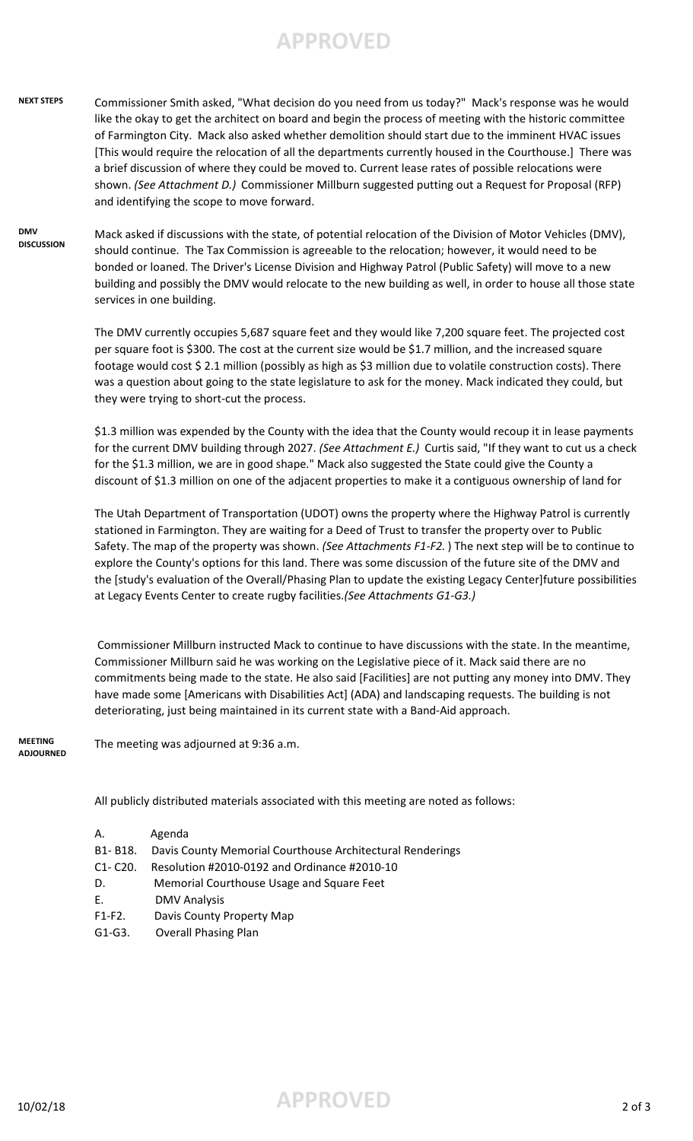## **APPROVED**

## **NEXT STEPS** Commissioner Smith asked, "What decision do you need from us today?" Mack's response was he would like the okay to get the architect on board and begin the process of meeting with the historic committee of Farmington City. Mack also asked whether demolition should start due to the imminent HVAC issues [This would require the relocation of all the departments currently housed in the Courthouse.] There was a brief discussion of where they could be moved to. Current lease rates of possible relocations were shown. *(See Attachment D.)* Commissioner Millburn suggested putting out a Request for Proposal (RFP) and identifying the scope to move forward.

**DMV DISCUSSION** Mack asked if discussions with the state, of potential relocation of the Division of Motor Vehicles (DMV), should continue. The Tax Commission is agreeable to the relocation; however, it would need to be bonded or loaned. The Driver's License Division and Highway Patrol (Public Safety) will move to a new building and possibly the DMV would relocate to the new building as well, in order to house all those state services in one building.

> The DMV currently occupies 5,687 square feet and they would like 7,200 square feet. The projected cost per square foot is \$300. The cost at the current size would be \$1.7 million, and the increased square footage would cost \$ 2.1 million (possibly as high as \$3 million due to volatile construction costs). There was a question about going to the state legislature to ask for the money. Mack indicated they could, but they were trying to short-cut the process.

\$1.3 million was expended by the County with the idea that the County would recoup it in lease payments for the current DMV building through 2027. *(See Attachment E.)* Curtis said, "If they want to cut us a check for the \$1.3 million, we are in good shape." Mack also suggested the State could give the County a discount of \$1.3 million on one of the adjacent properties to make it a contiguous ownership of land for

The Utah Department of Transportation (UDOT) owns the property where the Highway Patrol is currently stationed in Farmington. They are waiting for a Deed of Trust to transfer the property over to Public Safety. The map of the property was shown. *(See Attachments F1-F2.* ) The next step will be to continue to explore the County's options for this land. There was some discussion of the future site of the DMV and the [study's evaluation of the Overall/Phasing Plan to update the existing Legacy Center]future possibilities at Legacy Events Center to create rugby facilities.*(See Attachments G1-G3.)*

 Commissioner Millburn instructed Mack to continue to have discussions with the state. In the meantime, Commissioner Millburn said he was working on the Legislative piece of it. Mack said there are no commitments being made to the state. He also said [Facilities] are not putting any money into DMV. They have made some [Americans with Disabilities Act] (ADA) and landscaping requests. The building is not deteriorating, just being maintained in its current state with a Band-Aid approach.

**MEETING ADJOURNED** The meeting was adjourned at 9:36 a.m.

All publicly distributed materials associated with this meeting are noted as follows:

| А.          | Agenda                                                    |
|-------------|-----------------------------------------------------------|
| B1-B18.     | Davis County Memorial Courthouse Architectural Renderings |
| $C1 - C20.$ | Resolution #2010-0192 and Ordinance #2010-10              |
| D.          | Memorial Courthouse Usage and Square Feet                 |
| Ε.          | <b>DMV Analysis</b>                                       |
| $F1-F2.$    | Davis County Property Map                                 |
| $G1-G3.$    | <b>Overall Phasing Plan</b>                               |